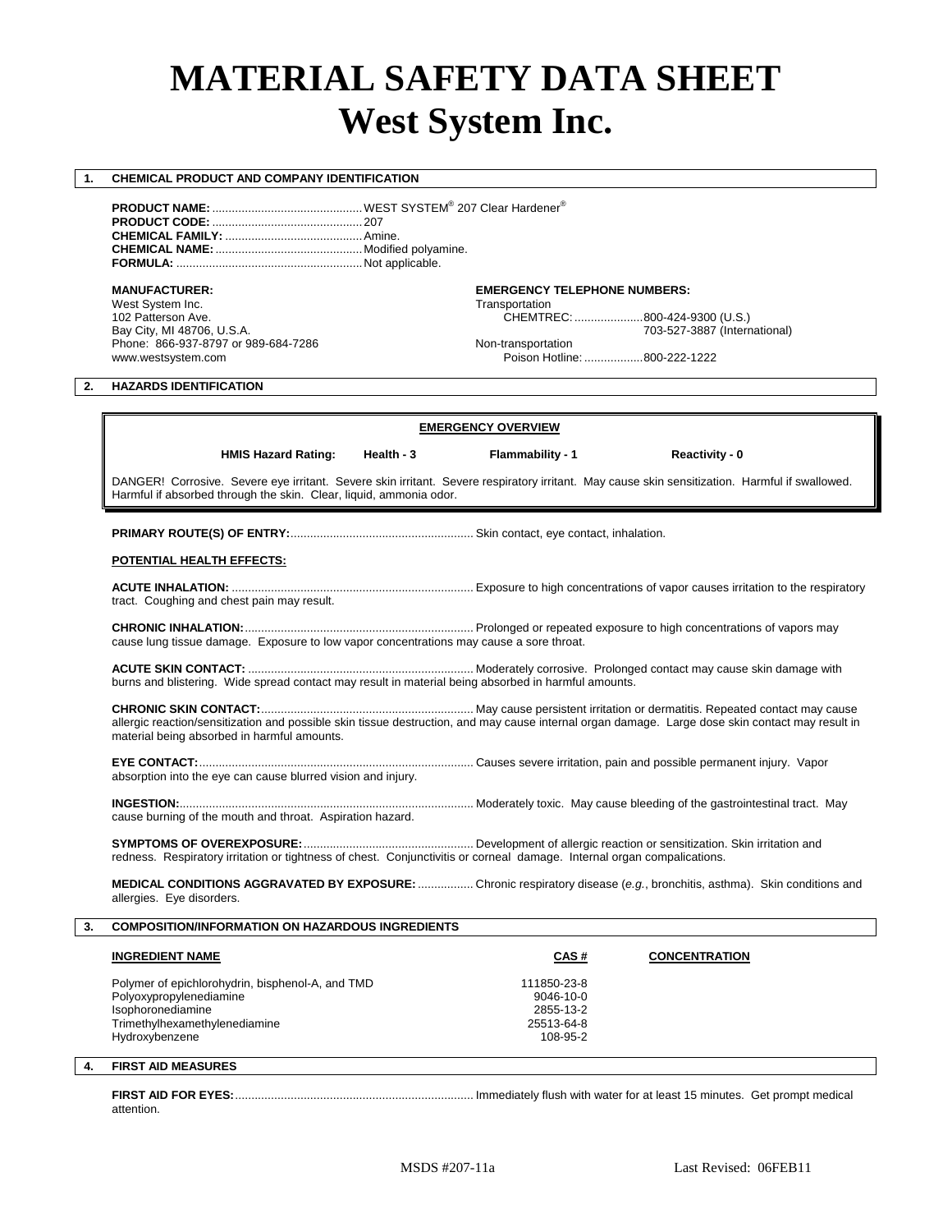# **MATERIAL SAFETY DATA SHEET West System Inc.**

# **1. CHEMICAL PRODUCT AND COMPANY IDENTIFICATION**

**PRODUCT NAME:** ..............................................WEST SYSTEM® 207 Clear Hardener® **PRODUCT CODE:** ..............................................207 **CHEMICAL FAMILY:** ..........................................Amine. **CHEMICAL NAME:**.............................................Modified polyamine. **FORMULA:** .........................................................Not applicable.

West System Inc. Transportation<br>102 Patterson Ave. The CHEMTR CHEMTR Phone: 866-937-8797 or 989-684-7286 Non-transportation<br>www.westsystem.com example are proportional proportion of Poison Hotline

### **MANUFACTURER: EMERGENCY TELEPHONE NUMBERS:**

102 Patterson Ave. CHEMTREC: .....................800-424-9300 (U.S.) 703-527-3887 (International)

Poison Hotline: ..................800-222-1222

# **2. HAZARDS IDENTIFICATION**

# **EMERGENCY OVERVIEW**

 **HMIS Hazard Rating: Health - 3 Flammability - 1 Reactivity - 0**

DANGER! Corrosive. Severe eye irritant. Severe skin irritant. Severe respiratory irritant. May cause skin sensitization. Harmful if swallowed. Harmful if absorbed through the skin. Clear, liquid, ammonia odor.

**PRIMARY ROUTE(S) OF ENTRY:**........................................................ Skin contact, eye contact, inhalation.

### **POTENTIAL HEALTH EFFECTS:**

**ACUTE INHALATION:** .......................................................................... Exposure to high concentrations of vapor causes irritation to the respiratory tract. Coughing and chest pain may result.

**CHRONIC INHALATION:**...................................................................... Prolonged or repeated exposure to high concentrations of vapors may cause lung tissue damage. Exposure to low vapor concentrations may cause a sore throat.

**ACUTE SKIN CONTACT:** ..................................................................... Moderately corrosive. Prolonged contact may cause skin damage with burns and blistering. Wide spread contact may result in material being absorbed in harmful amounts.

**CHRONIC SKIN CONTACT:**................................................................. May cause persistent irritation or dermatitis. Repeated contact may cause allergic reaction/sensitization and possible skin tissue destruction, and may cause internal organ damage. Large dose skin contact may result in material being absorbed in harmful amounts.

**EYE CONTACT:**.................................................................................... Causes severe irritation, pain and possible permanent injury. Vapor absorption into the eye can cause blurred vision and injury.

**INGESTION:**.......................................................................................... Moderately toxic. May cause bleeding of the gastrointestinal tract. May cause burning of the mouth and throat. Aspiration hazard.

**SYMPTOMS OF OVEREXPOSURE:**.................................................... Development of allergic reaction or sensitization. Skin irritation and

redness. Respiratory irritation or tightness of chest. Conjunctivitis or corneal damage. Internal organ compalications.

**MEDICAL CONDITIONS AGGRAVATED BY EXPOSURE:**................. Chronic respiratory disease (*e.g.*, bronchitis, asthma). Skin conditions and allergies. Eye disorders.

# **3. COMPOSITION/INFORMATION ON HAZARDOUS INGREDIENTS**

| <b>INGREDIENT NAME</b>                                                                                                                              | CAS#                                                                  | <b>CONCENTRATION</b> |
|-----------------------------------------------------------------------------------------------------------------------------------------------------|-----------------------------------------------------------------------|----------------------|
| Polymer of epichlorohydrin, bisphenol-A, and TMD<br>Polyoxypropylenediamine<br>Isophoronediamine<br>Trimethylhexamethylenediamine<br>Hydroxybenzene | 111850-23-8<br>$9046 - 10 - 0$<br>2855-13-2<br>25513-64-8<br>108-95-2 |                      |

# **4. FIRST AID MEASURES**

attention.

**FIRST AID FOR EYES:**......................................................................... Immediately flush with water for at least 15 minutes. Get prompt medical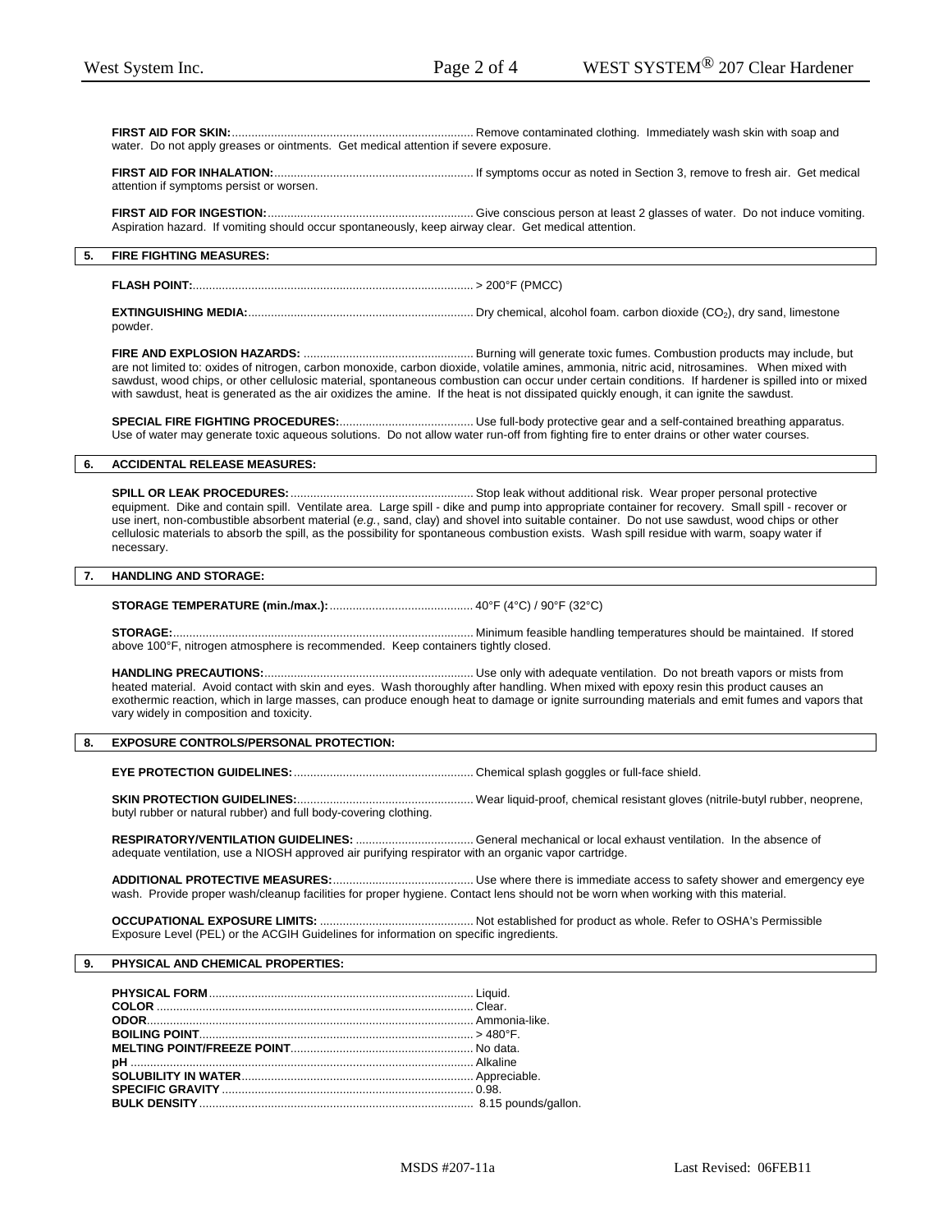**FIRST AID FOR SKIN:**.......................................................................... Remove contaminated clothing. Immediately wash skin with soap and water. Do not apply greases or ointments. Get medical attention if severe exposure.

**FIRST AID FOR INHALATION:**............................................................. If symptoms occur as noted in Section 3, remove to fresh air. Get medical attention if symptoms persist or worsen.

# **FIRST AID FOR INGESTION:**............................................................... Give conscious person at least 2 glasses of water. Do not induce vomiting.

Aspiration hazard. If vomiting should occur spontaneously, keep airway clear. Get medical attention.

### **5. FIRE FIGHTING MEASURES:**

**FLASH POINT:**...................................................................................... > 200°F (PMCC)

**EXTINGUISHING MEDIA:**..................................................................... Dry chemical, alcohol foam. carbon dioxide (CO2), dry sand, limestone powder.

**FIRE AND EXPLOSION HAZARDS:** .................................................... Burning will generate toxic fumes. Combustion products may include, but are not limited to: oxides of nitrogen, carbon monoxide, carbon dioxide, volatile amines, ammonia, nitric acid, nitrosamines. When mixed with sawdust, wood chips, or other cellulosic material, spontaneous combustion can occur under certain conditions. If hardener is spilled into or mixed with sawdust, heat is generated as the air oxidizes the amine. If the heat is not dissipated quickly enough, it can ignite the sawdust.

**SPECIAL FIRE FIGHTING PROCEDURES:**......................................... Use full-body protective gear and a self-contained breathing apparatus. Use of water may generate toxic aqueous solutions. Do not allow water run-off from fighting fire to enter drains or other water courses.

# **6. ACCIDENTAL RELEASE MEASURES:**

**SPILL OR LEAK PROCEDURES:**........................................................ Stop leak without additional risk. Wear proper personal protective equipment. Dike and contain spill. Ventilate area. Large spill - dike and pump into appropriate container for recovery. Small spill - recover or use inert, non-combustible absorbent material (*e.g.*, sand, clay) and shovel into suitable container. Do not use sawdust, wood chips or other cellulosic materials to absorb the spill, as the possibility for spontaneous combustion exists. Wash spill residue with warm, soapy water if necessary.

# **7. HANDLING AND STORAGE:**

**STORAGE TEMPERATURE (min./max.):**............................................ 40°F (4°C) / 90°F (32°C)

### **STORAGE:**............................................................................................ Minimum feasible handling temperatures should be maintained. If stored above 100°F, nitrogen atmosphere is recommended. Keep containers tightly closed.

**HANDLING PRECAUTIONS:**................................................................ Use only with adequate ventilation. Do not breath vapors or mists from heated material. Avoid contact with skin and eyes. Wash thoroughly after handling. When mixed with epoxy resin this product causes an exothermic reaction, which in large masses, can produce enough heat to damage or ignite surrounding materials and emit fumes and vapors that vary widely in composition and toxicity.

# **8. EXPOSURE CONTROLS/PERSONAL PROTECTION:**

**EYE PROTECTION GUIDELINES:**....................................................... Chemical splash goggles or full-face shield.

# **SKIN PROTECTION GUIDELINES:**...................................................... Wear liquid-proof, chemical resistant gloves (nitrile-butyl rubber, neoprene,

### butyl rubber or natural rubber) and full body-covering clothing.

**RESPIRATORY/VENTILATION GUIDELINES:** .................................... General mechanical or local exhaust ventilation. In the absence of adequate ventilation, use a NIOSH approved air purifying respirator with an organic vapor cartridge.

**ADDITIONAL PROTECTIVE MEASURES:**........................................... Use where there is immediate access to safety shower and emergency eye wash. Provide proper wash/cleanup facilities for proper hygiene. Contact lens should not be worn when working with this material.

**OCCUPATIONAL EXPOSURE LIMITS:** ............................................... Not established for product as whole. Refer to OSHA's Permissible Exposure Level (PEL) or the ACGIH Guidelines for information on specific ingredients.

#### **9. PHYSICAL AND CHEMICAL PROPERTIES:**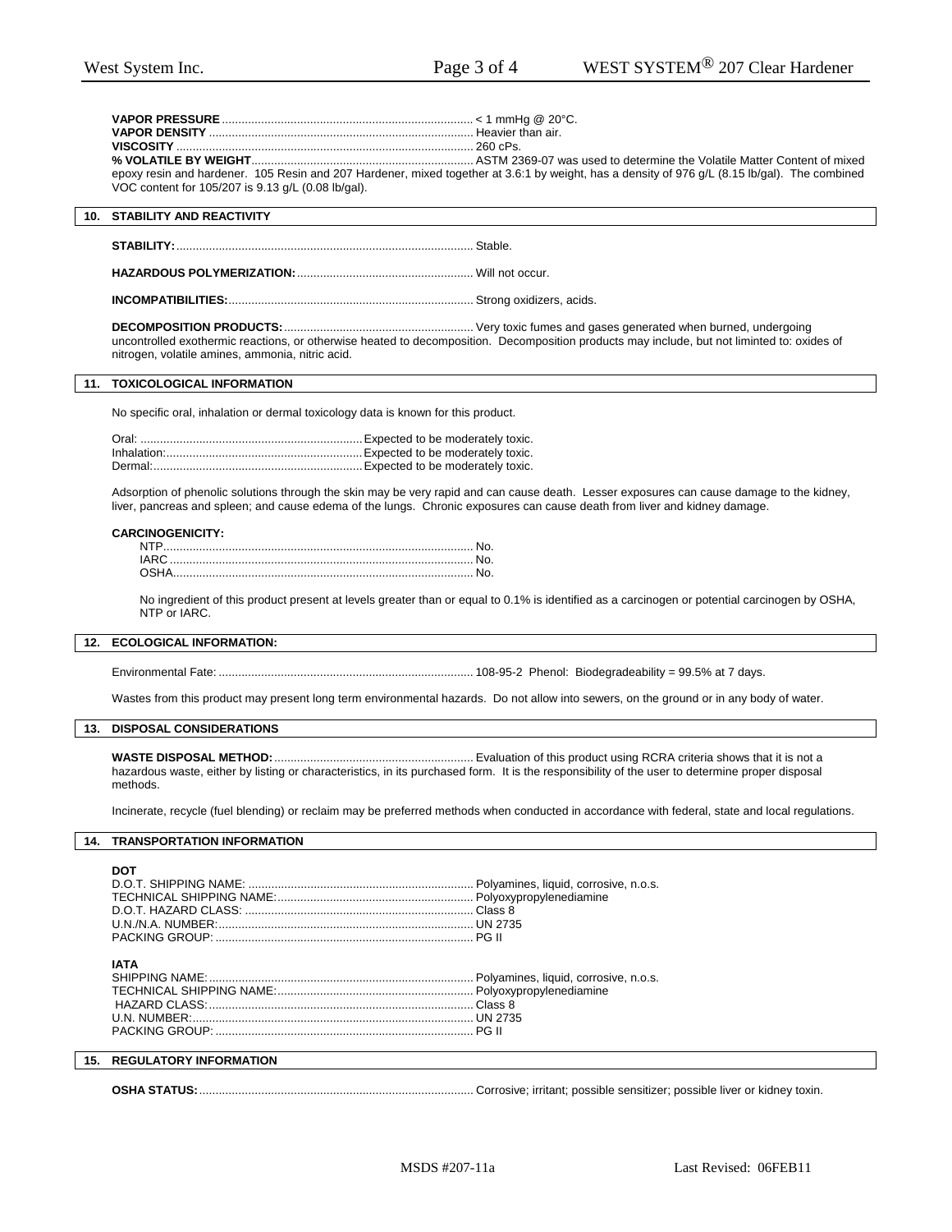|                                                    | epoxy resin and hardener. 105 Resin and 207 Hardener, mixed together at 3.6:1 by weight, has a density of 976 g/L (8.15 lb/gal). The combined |
|----------------------------------------------------|-----------------------------------------------------------------------------------------------------------------------------------------------|
| VOC content for 105/207 is 9.13 g/L (0.08 lb/gal). |                                                                                                                                               |

#### **10. STABILITY AND REACTIVITY**

**STABILITY:**........................................................................................... Stable.

**HAZARDOUS POLYMERIZATION:**...................................................... Will not occur.

**INCOMPATIBILITIES:**........................................................................... Strong oxidizers, acids.

**DECOMPOSITION PRODUCTS:**.......................................................... Very toxic fumes and gases generated when burned, undergoing uncontrolled exothermic reactions, or otherwise heated to decomposition. Decomposition products may include, but not liminted to: oxides of nitrogen, volatile amines, ammonia, nitric acid.

# **11. TOXICOLOGICAL INFORMATION**

No specific oral, inhalation or dermal toxicology data is known for this product.

Adsorption of phenolic solutions through the skin may be very rapid and can cause death. Lesser exposures can cause damage to the kidney, liver, pancreas and spleen; and cause edema of the lungs. Chronic exposures can cause death from liver and kidney damage.

### **CARCINOGENICITY:**

No ingredient of this product present at levels greater than or equal to 0.1% is identified as a carcinogen or potential carcinogen by OSHA, NTP or IARC.

# **12. ECOLOGICAL INFORMATION:**

Environmental Fate: .............................................................................. 108-95-2 Phenol: Biodegradeability = 99.5% at 7 days.

Wastes from this product may present long term environmental hazards. Do not allow into sewers, on the ground or in any body of water.

# **13. DISPOSAL CONSIDERATIONS**

**WASTE DISPOSAL METHOD:**............................................................. Evaluation of this product using RCRA criteria shows that it is not a hazardous waste, either by listing or characteristics, in its purchased form. It is the responsibility of the user to determine proper disposal methods.

Incinerate, recycle (fuel blending) or reclaim may be preferred methods when conducted in accordance with federal, state and local regulations.

#### **14. TRANSPORTATION INFORMATION**

| DOT                               |  |
|-----------------------------------|--|
|                                   |  |
|                                   |  |
|                                   |  |
|                                   |  |
|                                   |  |
| <b>IATA</b>                       |  |
|                                   |  |
|                                   |  |
|                                   |  |
|                                   |  |
|                                   |  |
| <b>15. REGULATORY INFORMATION</b> |  |

**OSHA STATUS:**.................................................................................... Corrosive; irritant; possible sensitizer; possible liver or kidney toxin.